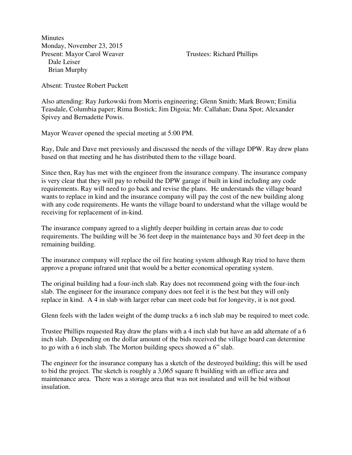**Minutes** Monday, November 23, 2015 Present: Mayor Carol Weaver Trustees: Richard Phillips Dale Leiser Brian Murphy

Absent: Trustee Robert Puckett

Also attending: Ray Jurkowski from Morris engineering; Glenn Smith; Mark Brown; Emilia Teasdale, Columbia paper; Rima Bostick; Jim Digoia; Mr. Callahan; Dana Spot; Alexander Spivey and Bernadette Powis.

Mayor Weaver opened the special meeting at 5:00 PM.

Ray, Dale and Dave met previously and discussed the needs of the village DPW. Ray drew plans based on that meeting and he has distributed them to the village board.

Since then, Ray has met with the engineer from the insurance company. The insurance company is very clear that they will pay to rebuild the DPW garage if built in kind including any code requirements. Ray will need to go back and revise the plans. He understands the village board wants to replace in kind and the insurance company will pay the cost of the new building along with any code requirements. He wants the village board to understand what the village would be receiving for replacement of in-kind.

The insurance company agreed to a slightly deeper building in certain areas due to code requirements. The building will be 36 feet deep in the maintenance bays and 30 feet deep in the remaining building.

The insurance company will replace the oil fire heating system although Ray tried to have them approve a propane infrared unit that would be a better economical operating system.

The original building had a four-inch slab. Ray does not recommend going with the four-inch slab. The engineer for the insurance company does not feel it is the best but they will only replace in kind. A 4 in slab with larger rebar can meet code but for longevity, it is not good.

Glenn feels with the laden weight of the dump trucks a 6 inch slab may be required to meet code.

Trustee Phillips requested Ray draw the plans with a 4 inch slab but have an add alternate of a 6 inch slab. Depending on the dollar amount of the bids received the village board can determine to go with a 6 inch slab. The Morton building specs showed a 6" slab.

The engineer for the insurance company has a sketch of the destroyed building; this will be used to bid the project. The sketch is roughly a 3,065 square ft building with an office area and maintenance area. There was a storage area that was not insulated and will be bid without insulation.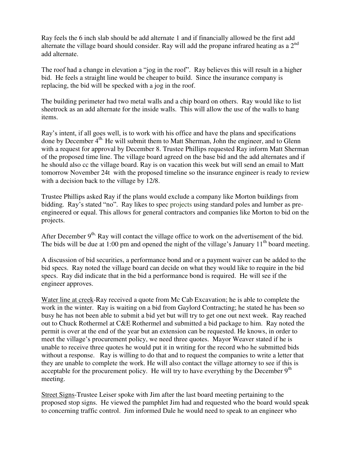Ray feels the 6 inch slab should be add alternate 1 and if financially allowed be the first add alternate the village board should consider. Ray will add the propane infrared heating as a 2<sup>nd</sup> add alternate.

The roof had a change in elevation a "jog in the roof". Ray believes this will result in a higher bid. He feels a straight line would be cheaper to build. Since the insurance company is replacing, the bid will be specked with a jog in the roof.

The building perimeter had two metal walls and a chip board on others. Ray would like to list sheetrock as an add alternate for the inside walls. This will allow the use of the walls to hang items.

Ray's intent, if all goes well, is to work with his office and have the plans and specifications done by December 4<sup>th.</sup> He will submit them to Matt Sherman, John the engineer, and to Glenn with a request for approval by December 8. Trustee Phillips requested Ray inform Matt Sherman of the proposed time line. The village board agreed on the base bid and the add alternates and if he should also cc the village board. Ray is on vacation this week but will send an email to Matt tomorrow November 24t with the proposed timeline so the insurance engineer is ready to review with a decision back to the village by 12/8.

Trustee Phillips asked Ray if the plans would exclude a company like Morton buildings from bidding. Ray's stated "no". Ray likes to spec projects using standard poles and lumber as preengineered or equal. This allows for general contractors and companies like Morton to bid on the projects.

After December  $9<sup>th</sup>$ . Ray will contact the village office to work on the advertisement of the bid. The bids will be due at 1:00 pm and opened the night of the village's January  $11<sup>th</sup>$  board meeting.

A discussion of bid securities, a performance bond and or a payment waiver can be added to the bid specs. Ray noted the village board can decide on what they would like to require in the bid specs. Ray did indicate that in the bid a performance bond is required. He will see if the engineer approves.

Water line at creek-Ray received a quote from Mc Cab Excavation; he is able to complete the work in the winter. Ray is waiting on a bid from Gaylord Contracting; he stated he has been so busy he has not been able to submit a bid yet but will try to get one out next week. Ray reached out to Chuck Rothermel at C&E Rothermel and submitted a bid package to him. Ray noted the permit is over at the end of the year but an extension can be requested. He knows, in order to meet the village's procurement policy, we need three quotes. Mayor Weaver stated if he is unable to receive three quotes he would put it in writing for the record who he submitted bids without a response. Ray is willing to do that and to request the companies to write a letter that they are unable to complete the work. He will also contact the village attorney to see if this is acceptable for the procurement policy. He will try to have everything by the December  $9<sup>th</sup>$ meeting.

Street Signs-Trustee Leiser spoke with Jim after the last board meeting pertaining to the proposed stop signs. He viewed the pamphlet Jim had and requested who the board would speak to concerning traffic control. Jim informed Dale he would need to speak to an engineer who